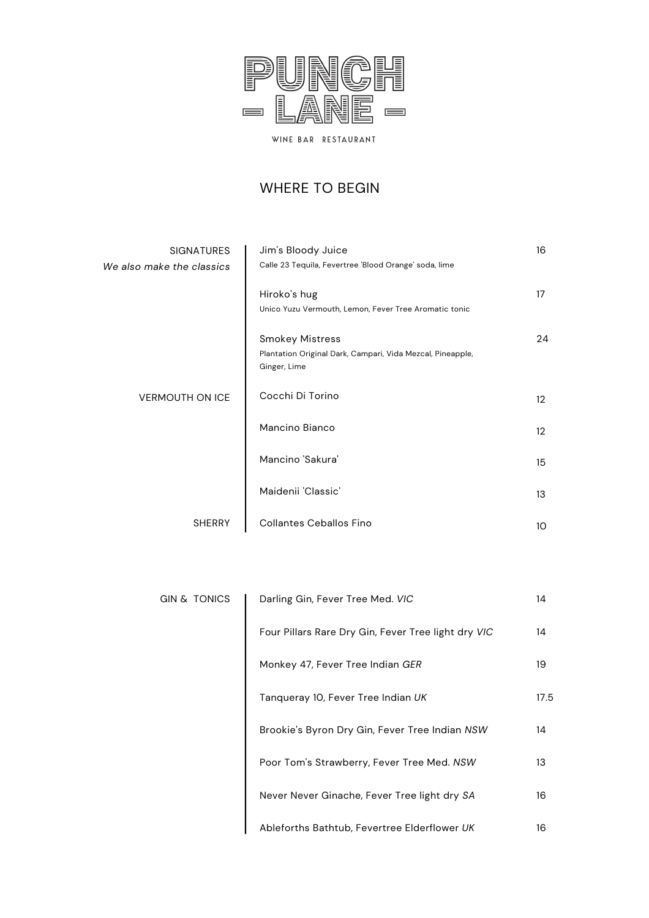

## WHERE TO BEGIN

| <b>SIGNATURES</b>         | Jim's Bloody Juice                                                         | 16              |
|---------------------------|----------------------------------------------------------------------------|-----------------|
| We also make the classics | Calle 23 Tequila, Fevertree 'Blood Orange' soda, lime                      |                 |
|                           | Hiroko's hug                                                               | 17              |
|                           | Unico Yuzu Vermouth, Lemon, Fever Tree Aromatic tonic                      |                 |
|                           | <b>Smokey Mistress</b>                                                     | 24              |
|                           | Plantation Original Dark, Campari, Vida Mezcal, Pineapple,<br>Ginger, Lime |                 |
| <b>VERMOUTH ON ICE</b>    | Cocchi Di Torino                                                           | 12 <sup>°</sup> |
|                           | Mancino Bianco                                                             | 12 <sup>°</sup> |
|                           | Mancino 'Sakura'                                                           | 15              |
|                           | Maidenii 'Classic'                                                         | 13              |
| <b>SHERRY</b>             | <b>Collantes Ceballos Fino</b>                                             | 10              |

| <b>GIN &amp; TONICS</b> | Darling Gin, Fever Tree Med. VIC                    | 14   |
|-------------------------|-----------------------------------------------------|------|
|                         | Four Pillars Rare Dry Gin, Fever Tree light dry VIC | 14   |
|                         | Monkey 47, Fever Tree Indian GER                    | 19   |
|                         | Tangueray 10, Fever Tree Indian UK                  | 17.5 |
|                         | Brookie's Byron Dry Gin, Fever Tree Indian NSW      | 14   |
|                         | Poor Tom's Strawberry, Fever Tree Med. NSW          | 13   |
|                         | Never Never Ginache, Fever Tree light dry SA        | 16   |
|                         | Ableforths Bathtub, Fevertree Elderflower UK        | 16   |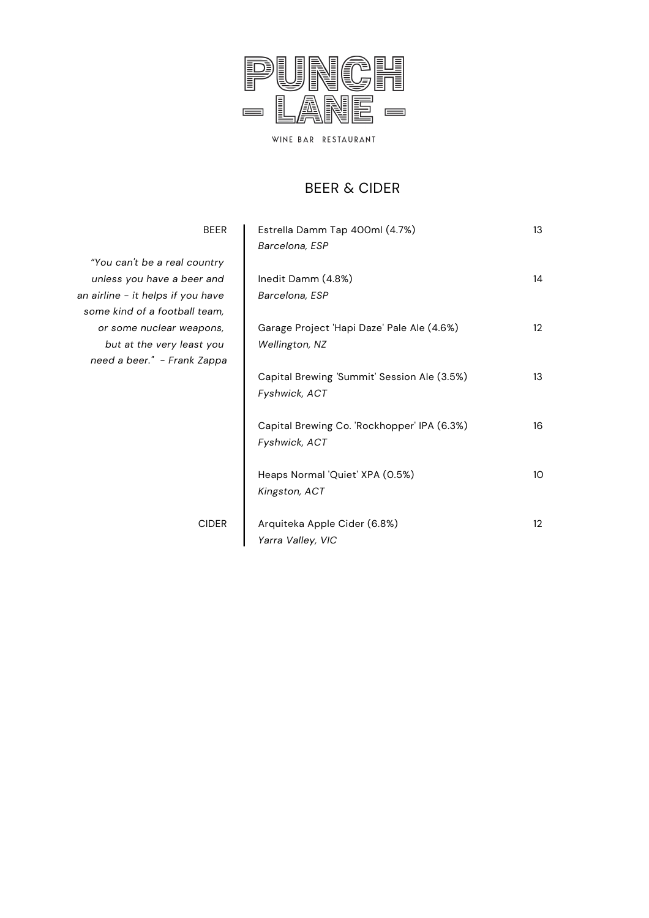

#### BEER & CIDER

| <b>BEER</b>                       | Estrella Damm Tap 400ml (4.7%)<br>Barcelona, ESP | 13                |
|-----------------------------------|--------------------------------------------------|-------------------|
| "You can't be a real country      |                                                  |                   |
| unless you have a beer and        | Inedit Damm (4.8%)                               | 14                |
| an airline - it helps if you have | Barcelona, ESP                                   |                   |
| some kind of a football team,     |                                                  |                   |
| or some nuclear weapons,          | Garage Project 'Hapi Daze' Pale Ale (4.6%)       | $12 \overline{ }$ |
| but at the very least you         | Wellington, NZ                                   |                   |
| need a beer." - Frank Zappa       |                                                  |                   |
|                                   | Capital Brewing 'Summit' Session Ale (3.5%)      | 13                |
|                                   | Fyshwick, ACT                                    |                   |
|                                   |                                                  |                   |
|                                   | Capital Brewing Co. 'Rockhopper' IPA (6.3%)      | 16                |
|                                   | Fyshwick, ACT                                    |                   |
|                                   | Heaps Normal 'Quiet' XPA (0.5%)                  | 10 <sup>°</sup>   |
|                                   | Kingston, ACT                                    |                   |
|                                   |                                                  |                   |
| <b>CIDER</b>                      | Arquiteka Apple Cider (6.8%)                     | $12 \overline{ }$ |
|                                   | Yarra Valley, VIC                                |                   |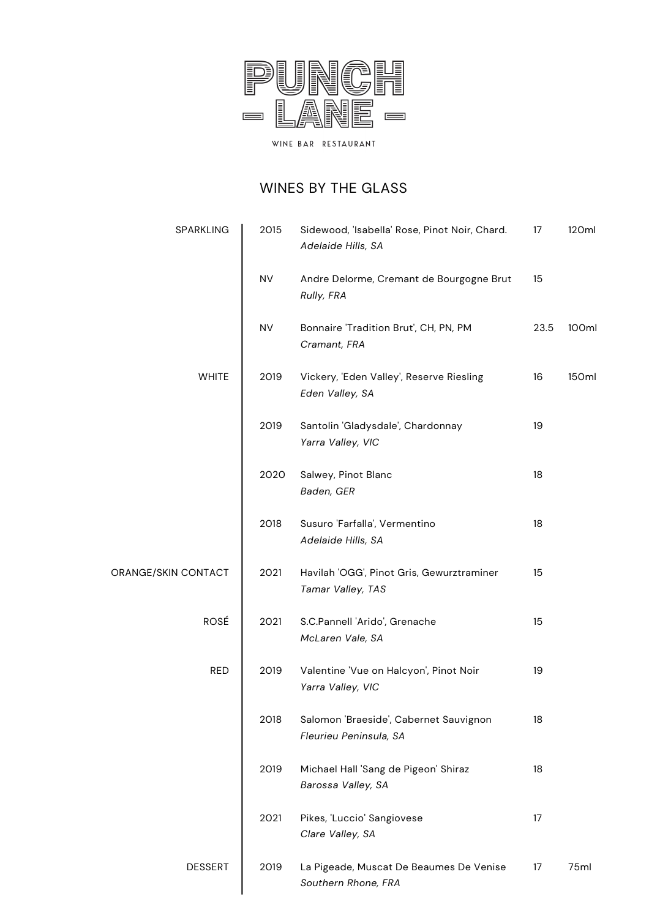

## WINES BY THE GLASS

| SPARKLING           | 2015      | Sidewood, 'Isabella' Rose, Pinot Noir, Chard.<br>Adelaide Hills, SA | 17   | 120ml |
|---------------------|-----------|---------------------------------------------------------------------|------|-------|
|                     | <b>NV</b> | Andre Delorme, Cremant de Bourgogne Brut<br>Rully, FRA              | 15   |       |
|                     | <b>NV</b> | Bonnaire 'Tradition Brut', CH, PN, PM<br>Cramant, FRA               | 23.5 | 100ml |
| <b>WHITE</b>        | 2019      | Vickery, 'Eden Valley', Reserve Riesling<br>Eden Valley, SA         | 16   | 150ml |
|                     | 2019      | Santolin 'Gladysdale', Chardonnay<br>Yarra Valley, VIC              | 19   |       |
|                     | 2020      | Salwey, Pinot Blanc<br>Baden, GER                                   | 18   |       |
|                     | 2018      | Susuro 'Farfalla', Vermentino<br>Adelaide Hills, SA                 | 18   |       |
| ORANGE/SKIN CONTACT | 2021      | Havilah 'OGG', Pinot Gris, Gewurztraminer<br>Tamar Valley, TAS      | 15   |       |
| ROSÉ                | 2021      | S.C.Pannell 'Arido', Grenache<br>McLaren Vale, SA                   | 15   |       |
| <b>RED</b>          | 2019      | Valentine 'Vue on Halcyon', Pinot Noir<br>Yarra Valley, VIC         | 19   |       |
|                     | 2018      | Salomon 'Braeside', Cabernet Sauvignon<br>Fleurieu Peninsula, SA    | 18   |       |
|                     | 2019      | Michael Hall 'Sang de Pigeon' Shiraz<br>Barossa Valley, SA          | 18   |       |
|                     | 2021      | Pikes, 'Luccio' Sangiovese<br>Clare Valley, SA                      | 17   |       |
| <b>DESSERT</b>      | 2019      | La Pigeade, Muscat De Beaumes De Venise<br>Southern Rhone, FRA      | 17   | 75ml  |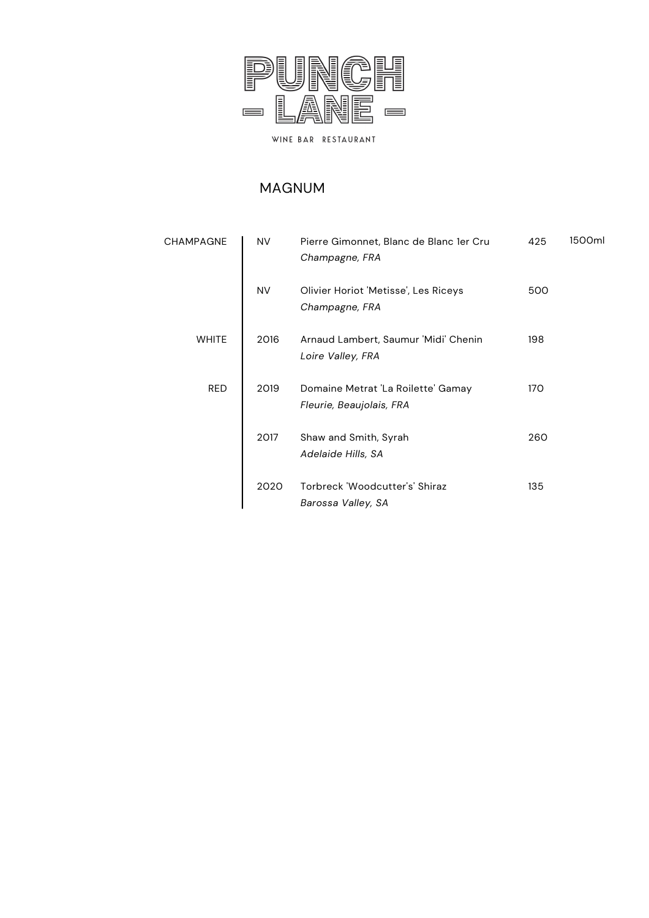

#### MAGNUM

| <b>CHAMPAGNE</b> | <b>NV</b> | Pierre Gimonnet, Blanc de Blanc 1er Cru<br>Champagne, FRA      | 425 | 1500ml |
|------------------|-----------|----------------------------------------------------------------|-----|--------|
|                  | <b>NV</b> | Olivier Horiot 'Metisse', Les Riceys<br>Champagne, FRA         | 500 |        |
| <b>WHITE</b>     | 2016      | Arnaud Lambert, Saumur 'Midi' Chenin<br>Loire Valley, FRA      | 198 |        |
| <b>RED</b>       | 2019      | Domaine Metrat 'La Roilette' Gamay<br>Fleurie, Beaujolais, FRA | 170 |        |
|                  | 2017      | Shaw and Smith, Syrah<br>Adelaide Hills, SA                    | 260 |        |
|                  | 2020      | Torbreck 'Woodcutter's' Shiraz<br>Barossa Valley, SA           | 135 |        |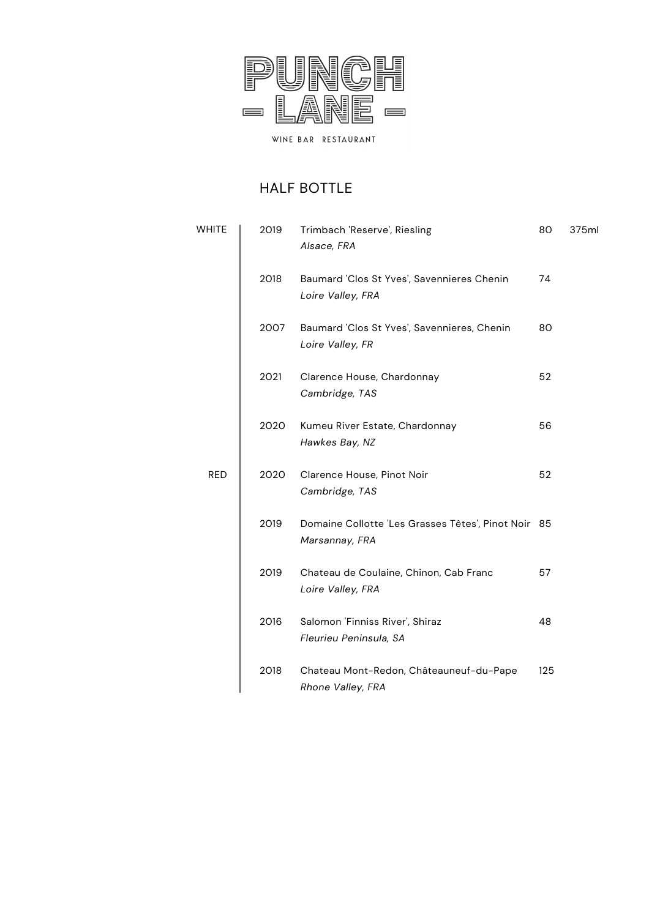

## HALF BOTTLE

| <b>WHITE</b> | 2019 | Trimbach 'Reserve', Riesling<br>Alsace, FRA                           | 80  | 375ml |
|--------------|------|-----------------------------------------------------------------------|-----|-------|
|              | 2018 | Baumard 'Clos St Yves', Savennieres Chenin<br>Loire Valley, FRA       | 74  |       |
| 2007         |      | Baumard 'Clos St Yves', Savennieres, Chenin<br>Loire Valley, FR       | 80  |       |
|              | 2021 | Clarence House, Chardonnay<br>Cambridge, TAS                          | 52  |       |
|              | 2020 | Kumeu River Estate, Chardonnay<br>Hawkes Bay, NZ                      | 56  |       |
| <b>RED</b>   | 2020 | Clarence House, Pinot Noir<br>Cambridge, TAS                          | 52  |       |
|              | 2019 | Domaine Collotte 'Les Grasses Têtes', Pinot Noir 85<br>Marsannay, FRA |     |       |
|              | 2019 | Chateau de Coulaine, Chinon, Cab Franc<br>Loire Valley, FRA           | 57  |       |
|              | 2016 | Salomon 'Finniss River', Shiraz<br>Fleurieu Peninsula, SA             | 48  |       |
|              | 2018 | Chateau Mont-Redon, Châteauneuf-du-Pape<br>Rhone Valley, FRA          | 125 |       |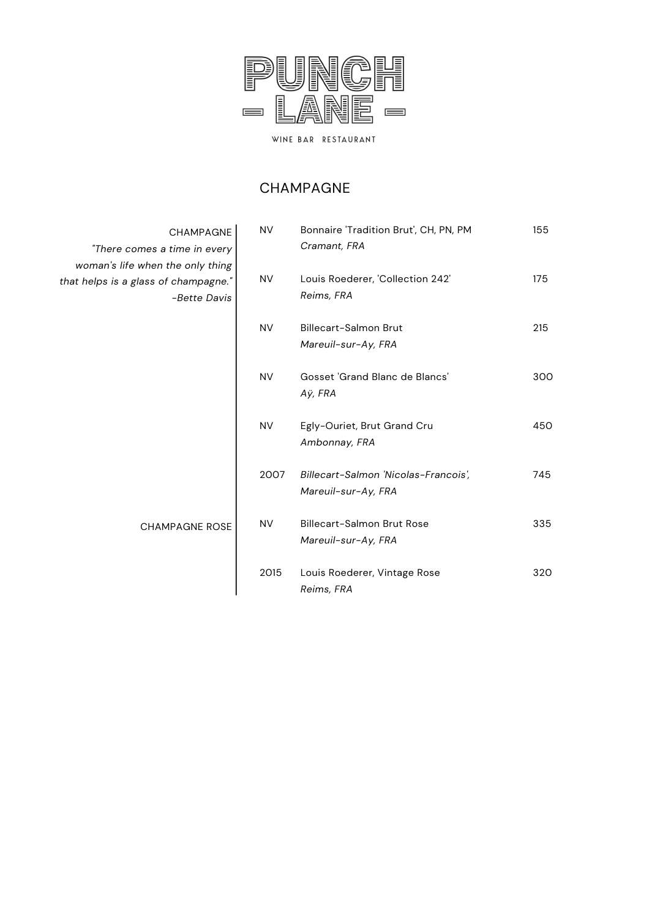

#### CHAMPAGNE

| CHAMPAGNE<br>mes a time in every                           | NV.       | Bonnaire 'Tradition Brut', CH, PN, PM<br>Cramant, FRA       | 155 |
|------------------------------------------------------------|-----------|-------------------------------------------------------------|-----|
| when the only thing<br>lass of champagne."<br>-Bette Davis | <b>NV</b> | Louis Roederer, 'Collection 242'<br>Reims, FRA              | 175 |
|                                                            | <b>NV</b> | Billecart-Salmon Brut<br>Mareuil-sur-Ay, FRA                | 215 |
|                                                            | <b>NV</b> | Gosset 'Grand Blanc de Blancs'<br>Aÿ, FRA                   | 300 |
|                                                            | <b>NV</b> | Egly-Ouriet, Brut Grand Cru<br>Ambonnay, FRA                | 450 |
|                                                            | 2007      | Billecart-Salmon 'Nicolas-Francois',<br>Mareuil-sur-Ay, FRA | 745 |
| <b>CHAMPAGNE ROSE</b>                                      | <b>NV</b> | Billecart-Salmon Brut Rose<br>Mareuil-sur-Ay, FRA           | 335 |
|                                                            | 2015      | Louis Roederer, Vintage Rose<br>Reims, FRA                  | 320 |

CHAMPA *"There comes a time in every woman's life when the only thing*  $hat$  *helps* is a glass of champag *-Bette Davis*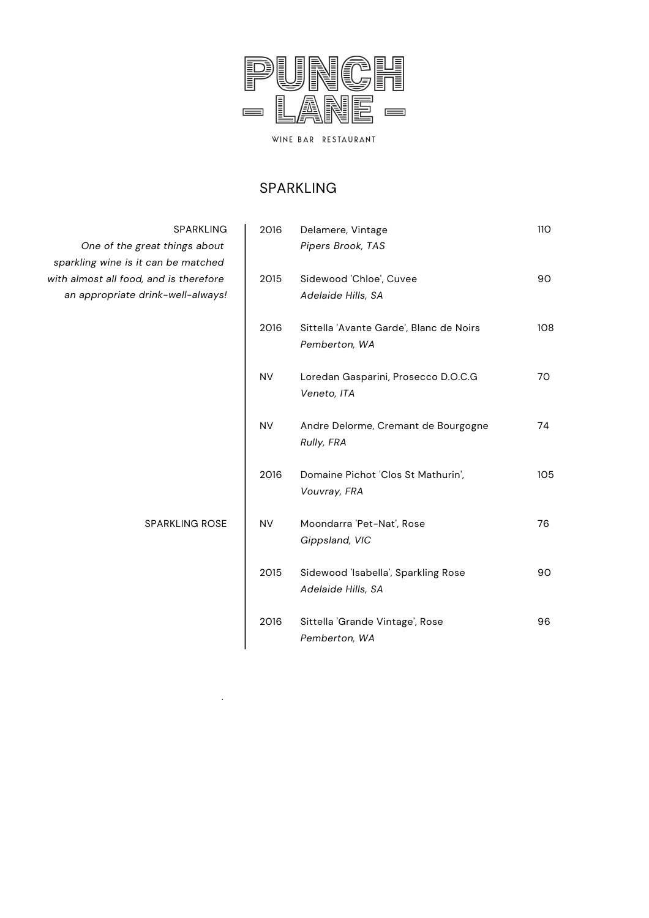

#### SPARKLING

| SPARKLING |
|-----------|
|-----------|

SPARKLING ROSE

*.*

*One of the great things about sparkling wine is it can be matched with almost all food, and is therefore an appropriate drink-well-always!*

| 2016      | Delamere, Vintage<br>Pipers Brook, TAS                    | <b>110</b> |
|-----------|-----------------------------------------------------------|------------|
| 2015      | Sidewood 'Chloe', Cuvee<br>Adelaide Hills, SA             | 90         |
| 2016      | Sittella 'Avante Garde', Blanc de Noirs<br>Pemberton, WA  | 108        |
| <b>NV</b> | Loredan Gasparini, Prosecco D.O.C.G<br>Veneto, ITA        | 70         |
| <b>NV</b> | Andre Delorme, Cremant de Bourgogne<br>Rully, FRA         | 74         |
| 2016      | Domaine Pichot 'Clos St Mathurin',<br>Vouvray, FRA        | 105        |
| <b>NV</b> | Moondarra 'Pet-Nat', Rose<br>Gippsland, VIC               | 76         |
| 2015      | Sidewood 'Isabella', Sparkling Rose<br>Adelaide Hills, SA | 90         |
| 2016      | Sittella 'Grande Vintage', Rose<br>Pemberton, WA          | 96         |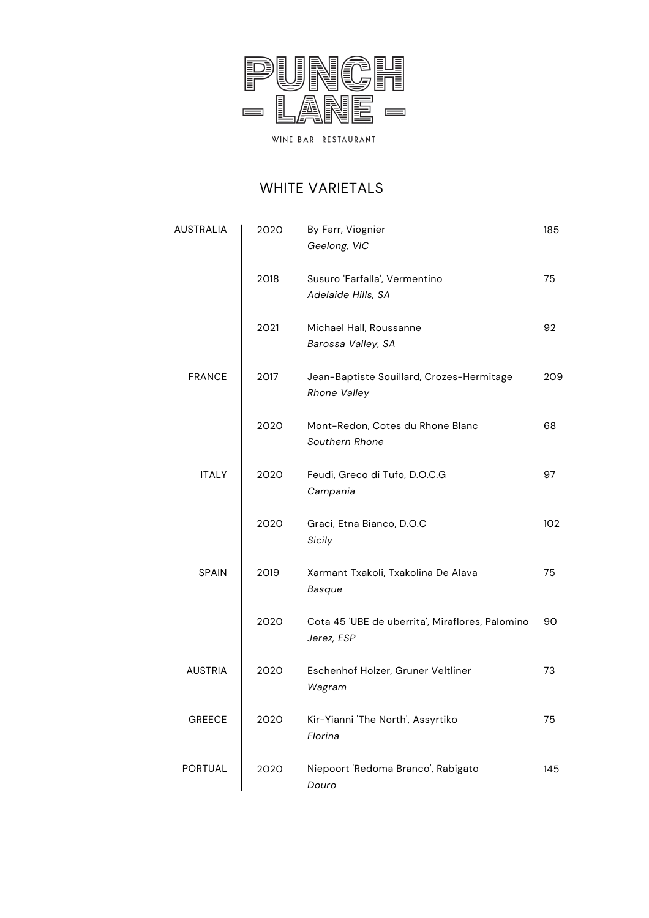

### WHITE VARIETALS

| AUSTRALIA      | 2020 | By Farr, Viognier<br>Geelong, VIC                                | 185 |
|----------------|------|------------------------------------------------------------------|-----|
|                | 2018 | Susuro 'Farfalla', Vermentino<br>Adelaide Hills, SA              | 75  |
|                | 2021 | Michael Hall, Roussanne<br>Barossa Valley, SA                    | 92  |
| <b>FRANCE</b>  | 2017 | Jean-Baptiste Souillard, Crozes-Hermitage<br><b>Rhone Valley</b> | 209 |
|                | 2020 | Mont-Redon, Cotes du Rhone Blanc<br>Southern Rhone               | 68  |
| <b>ITALY</b>   | 2020 | Feudi, Greco di Tufo, D.O.C.G<br>Campania                        | 97  |
|                | 2020 | Graci, Etna Bianco, D.O.C<br>Sicily                              | 102 |
| <b>SPAIN</b>   | 2019 | Xarmant Txakoli, Txakolina De Alava<br>Basque                    | 75  |
|                | 2020 | Cota 45 'UBE de uberrita', Miraflores, Palomino<br>Jerez, ESP    | 90  |
| <b>AUSTRIA</b> | 2020 | Eschenhof Holzer, Gruner Veltliner<br>Wagram                     | 73  |
| <b>GREECE</b>  | 2020 | Kir-Yianni 'The North', Assyrtiko<br>Florina                     | 75  |
| PORTUAL        | 2020 | Niepoort 'Redoma Branco', Rabigato<br>Douro                      | 145 |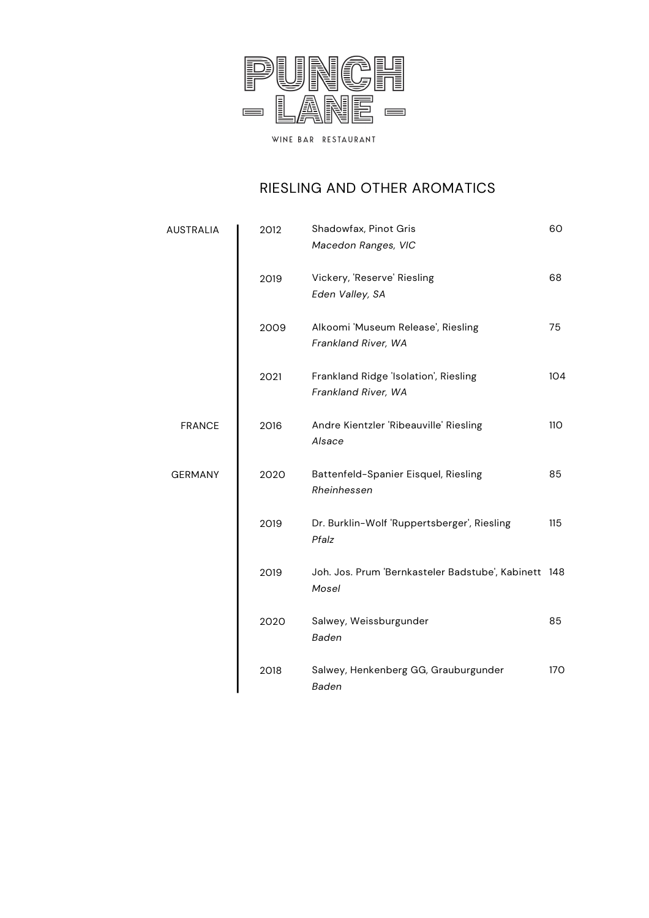

## RIESLING AND OTHER AROMATICS

| <b>AUSTRALIA</b> | 2012 | Shadowfax, Pinot Gris<br>Macedon Ranges, VIC                  | 60         |
|------------------|------|---------------------------------------------------------------|------------|
|                  | 2019 | Vickery, 'Reserve' Riesling<br>Eden Valley, SA                | 68         |
|                  | 2009 | Alkoomi 'Museum Release', Riesling<br>Frankland River, WA     | 75         |
|                  | 2021 | Frankland Ridge 'Isolation', Riesling<br>Frankland River, WA  | 104        |
| <b>FRANCE</b>    | 2016 | Andre Kientzler 'Ribeauville' Riesling<br>Alsace              | <b>110</b> |
| <b>GERMANY</b>   | 2020 | Battenfeld-Spanier Eisquel, Riesling<br>Rheinhessen           | 85         |
|                  | 2019 | Dr. Burklin-Wolf 'Ruppertsberger', Riesling<br>Pfalz          | 115        |
|                  | 2019 | Joh. Jos. Prum 'Bernkasteler Badstube', Kabinett 148<br>Mosel |            |
|                  | 2020 | Salwey, Weissburgunder<br>Baden                               | 85         |
|                  | 2018 | Salwey, Henkenberg GG, Grauburgunder<br>Baden                 | <b>170</b> |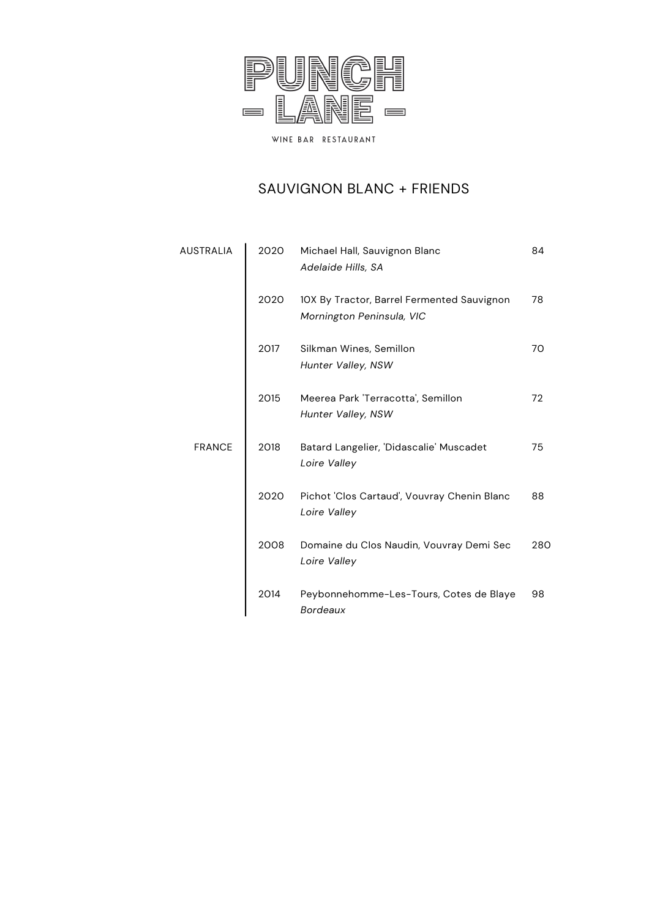

#### SAUVIGNON BLANC + FRIENDS

| AUSTRALIA     | 2020 | Michael Hall, Sauvignon Blanc<br>Adelaide Hills, SA                     | 84  |
|---------------|------|-------------------------------------------------------------------------|-----|
|               | 2020 | 10X By Tractor, Barrel Fermented Sauvignon<br>Mornington Peninsula, VIC | 78  |
|               | 2017 | Silkman Wines, Semillon<br>Hunter Valley, NSW                           | 70  |
|               | 2015 | Meerea Park 'Terracotta', Semillon<br>Hunter Valley, NSW                | 72  |
| <b>FRANCE</b> | 2018 | Batard Langelier, 'Didascalie' Muscadet<br>Loire Valley                 | 75  |
|               | 2020 | Pichot 'Clos Cartaud', Vouvray Chenin Blanc<br>Loire Valley             | 88  |
|               | 2008 | Domaine du Clos Naudin, Vouvray Demi Sec<br>Loire Valley                | 280 |
|               | 2014 | Peybonnehomme-Les-Tours, Cotes de Blaye<br><b>Bordeaux</b>              | 98  |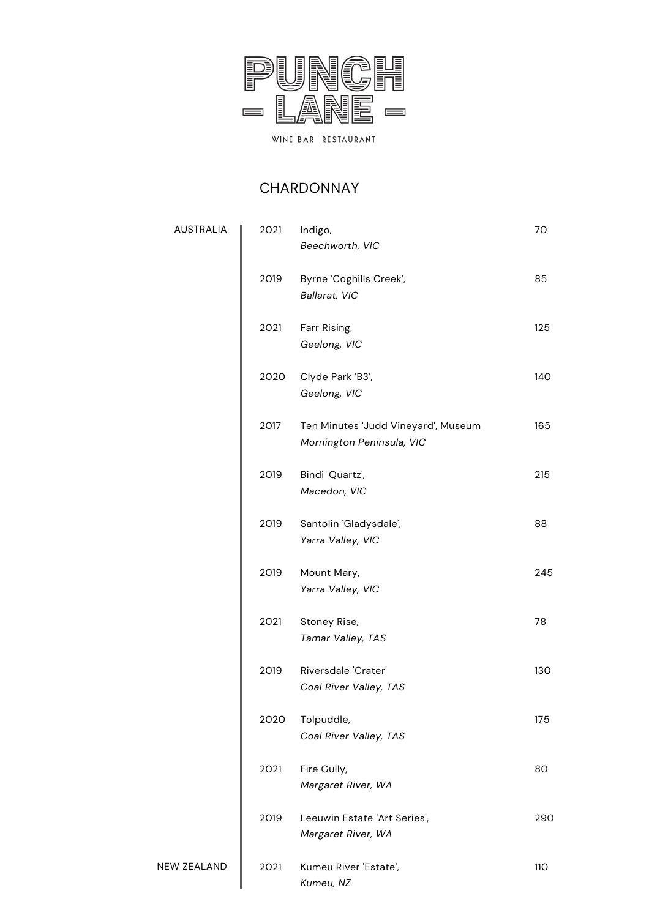

### CHARDONNAY

AUSTRALIA

NEW ZEALAND

| 2021 | Indigo,<br>Beechworth, VIC                                       | 70         |
|------|------------------------------------------------------------------|------------|
| 2019 | Byrne 'Coghills Creek',<br>Ballarat, VIC                         | 85         |
| 2021 | Farr Rising,<br>Geelong, VIC                                     | 125        |
| 2020 | Clyde Park 'B3',<br>Geelong, VIC                                 | 140        |
| 2017 | Ten Minutes 'Judd Vineyard', Museum<br>Mornington Peninsula, VIC | 165        |
| 2019 | Bindi 'Quartz',<br>Macedon, VIC                                  | 215        |
| 2019 | Santolin 'Gladysdale',<br>Yarra Valley, VIC                      | 88         |
| 2019 | Mount Mary,<br>Yarra Valley, VIC                                 | 245        |
| 2021 | Stoney Rise,<br>Tamar Valley, TAS                                | 78         |
| 2019 | Riversdale 'Crater'<br>Coal River Valley, TAS                    | 130        |
| 2020 | Tolpuddle,<br>Coal River Valley, TAS                             | 175        |
| 2021 | Fire Gully,<br>Margaret River, WA                                | 80         |
| 2019 | Leeuwin Estate 'Art Series',<br>Margaret River, WA               | 290        |
| 2021 | Kumeu River 'Estate',<br>Kumeu, NZ                               | <b>110</b> |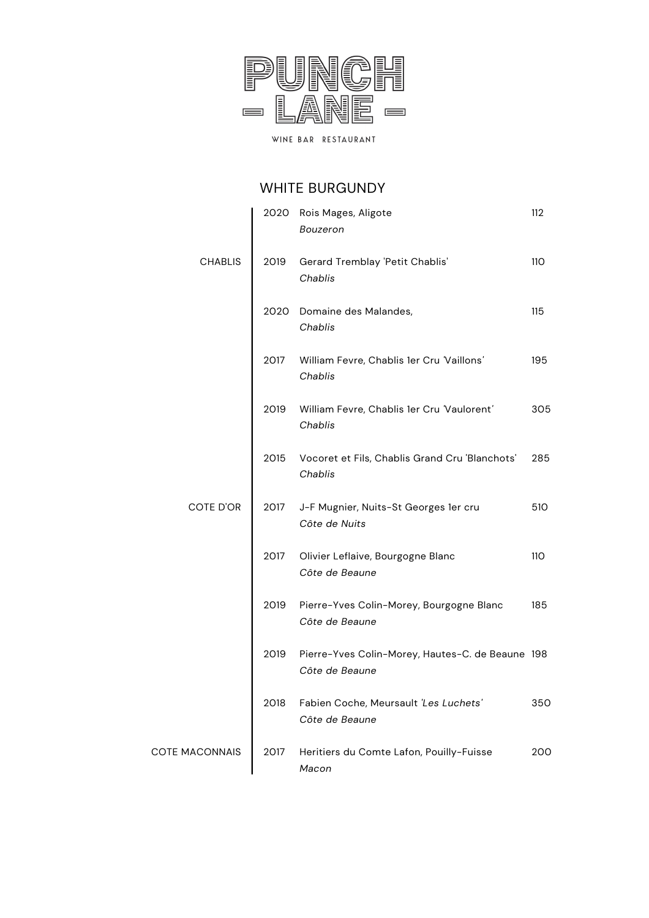

### WHITE BURGUNDY

|                       |      | 2020 Rois Mages, Aligote<br>Bouzeron                               | 112        |
|-----------------------|------|--------------------------------------------------------------------|------------|
| <b>CHABLIS</b>        | 2019 | Gerard Tremblay 'Petit Chablis'<br>Chablis                         | <b>110</b> |
|                       | 2020 | Domaine des Malandes,<br>Chablis                                   | 115        |
|                       | 2017 | William Fevre, Chablis 1er Cru 'Vaillons'<br>Chablis               | 195        |
|                       | 2019 | William Fevre, Chablis 1er Cru 'Vaulorent'<br>Chablis              | 305        |
|                       | 2015 | Vocoret et Fils, Chablis Grand Cru 'Blanchots'<br>Chablis          | 285        |
| COTE D'OR             | 2017 | J-F Mugnier, Nuits-St Georges 1er cru<br>Côte de Nuits             | 510        |
|                       | 2017 | Olivier Leflaive, Bourgogne Blanc<br>Côte de Beaune                | <b>110</b> |
|                       | 2019 | Pierre-Yves Colin-Morey, Bourgogne Blanc<br>Côte de Beaune         | 185        |
|                       | 2019 | Pierre-Yves Colin-Morey, Hautes-C. de Beaune 198<br>Côte de Beaune |            |
|                       | 2018 | Fabien Coche, Meursault 'Les Luchets'<br>Côte de Beaune            | 350        |
| <b>COTE MACONNAIS</b> | 2017 | Heritiers du Comte Lafon, Pouilly-Fuisse<br>Macon                  | 200        |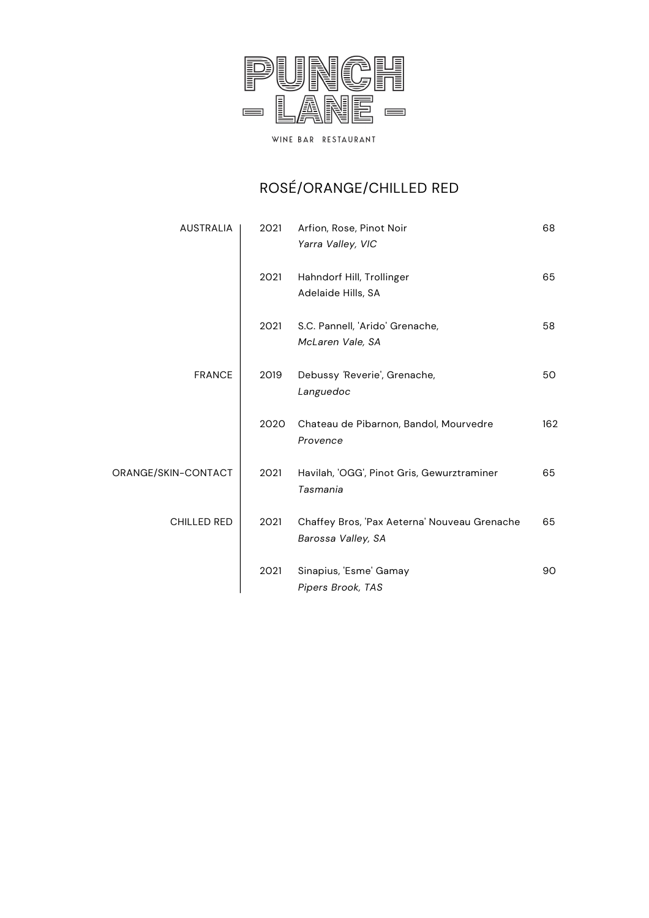

# ROSÉ/ORANGE/CHILLED RED

| <b>AUSTRALIA</b>    | 2021 | Arfion, Rose, Pinot Noir<br>Yarra Valley, VIC                      | 68  |
|---------------------|------|--------------------------------------------------------------------|-----|
|                     | 2021 | Hahndorf Hill, Trollinger<br>Adelaide Hills, SA                    | 65  |
|                     | 2021 | S.C. Pannell, 'Arido' Grenache,<br>McLaren Vale, SA                | 58  |
| <b>FRANCE</b>       | 2019 | Debussy 'Reverie', Grenache,<br>Languedoc                          | 50  |
|                     | 2020 | Chateau de Pibarnon, Bandol, Mourvedre<br>Provence                 | 162 |
| ORANGE/SKIN-CONTACT | 2021 | Havilah, 'OGG', Pinot Gris, Gewurztraminer<br>Tasmania             | 65  |
| <b>CHILLED RED</b>  | 2021 | Chaffey Bros, 'Pax Aeterna' Nouveau Grenache<br>Barossa Valley, SA | 65  |
|                     | 2021 | Sinapius, 'Esme' Gamay<br>Pipers Brook, TAS                        | 90  |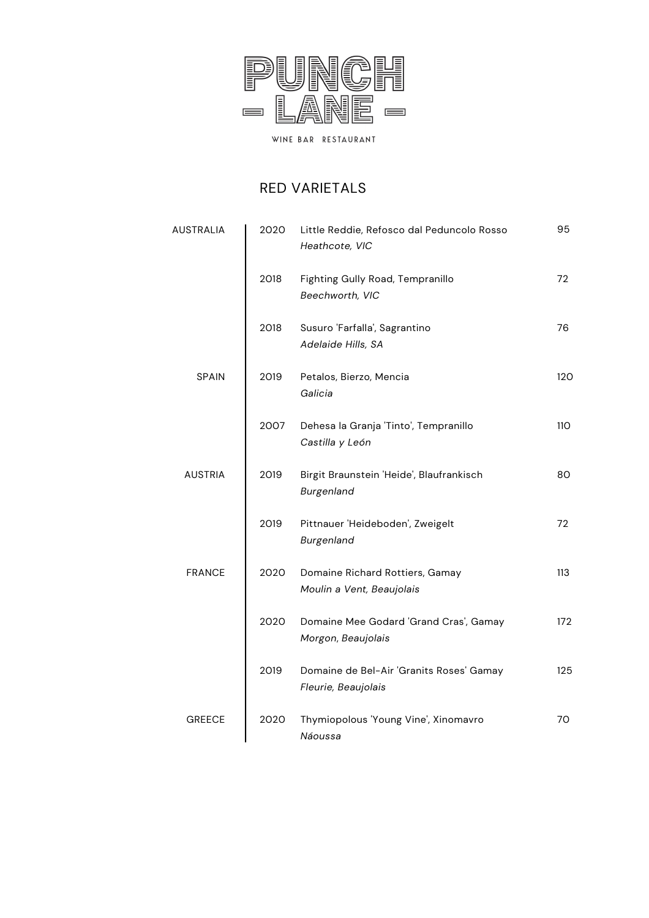

#### RED VARIETALS

| AUSTRALIA      | 2020 | Little Reddie, Refosco dal Peduncolo Rosso<br>Heathcote, VIC    | 95  |
|----------------|------|-----------------------------------------------------------------|-----|
|                | 2018 | Fighting Gully Road, Tempranillo<br>Beechworth, VIC             | 72  |
|                | 2018 | Susuro 'Farfalla', Sagrantino<br>Adelaide Hills, SA             | 76  |
| <b>SPAIN</b>   | 2019 | Petalos, Bierzo, Mencia<br>Galicia                              | 120 |
|                | 2007 | Dehesa la Granja 'Tinto', Tempranillo<br>Castilla y León        | 110 |
| <b>AUSTRIA</b> | 2019 | Birgit Braunstein 'Heide', Blaufrankisch<br>Burgenland          | 80  |
|                | 2019 | Pittnauer 'Heideboden', Zweigelt<br>Burgenland                  | 72  |
| <b>FRANCE</b>  | 2020 | Domaine Richard Rottiers, Gamay<br>Moulin a Vent, Beaujolais    | 113 |
|                | 2020 | Domaine Mee Godard 'Grand Cras', Gamay<br>Morgon, Beaujolais    | 172 |
|                | 2019 | Domaine de Bel-Air 'Granits Roses' Gamay<br>Fleurie, Beaujolais | 125 |
| <b>GREECE</b>  | 2020 | Thymiopolous 'Young Vine', Xinomavro<br>Náoussa                 | 70  |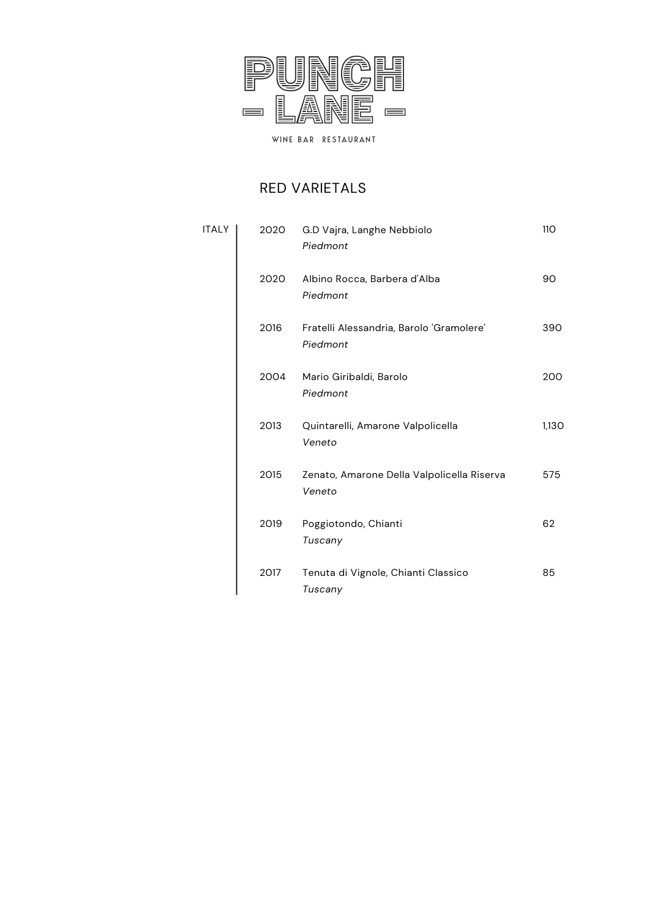

#### RED VARIETALS

| <b>ITALY</b> | 2020 | G.D Vajra, Langhe Nebbiolo<br>Piedmont               | <b>110</b> |
|--------------|------|------------------------------------------------------|------------|
|              | 2020 | Albino Rocca, Barbera d'Alba<br>Piedmont             | 90         |
|              | 2016 | Fratelli Alessandria, Barolo 'Gramolere'<br>Piedmont | 390        |
|              | 2004 | Mario Giribaldi, Barolo<br>Piedmont                  | 200        |
|              | 2013 | Quintarelli, Amarone Valpolicella<br>Veneto          | 1,130      |
|              | 2015 | Zenato, Amarone Della Valpolicella Riserva<br>Veneto | 575        |
|              | 2019 | Poggiotondo, Chianti<br>Tuscany                      | 62         |
|              | 2017 | Tenuta di Vignole, Chianti Classico<br>Tuscany       | 85         |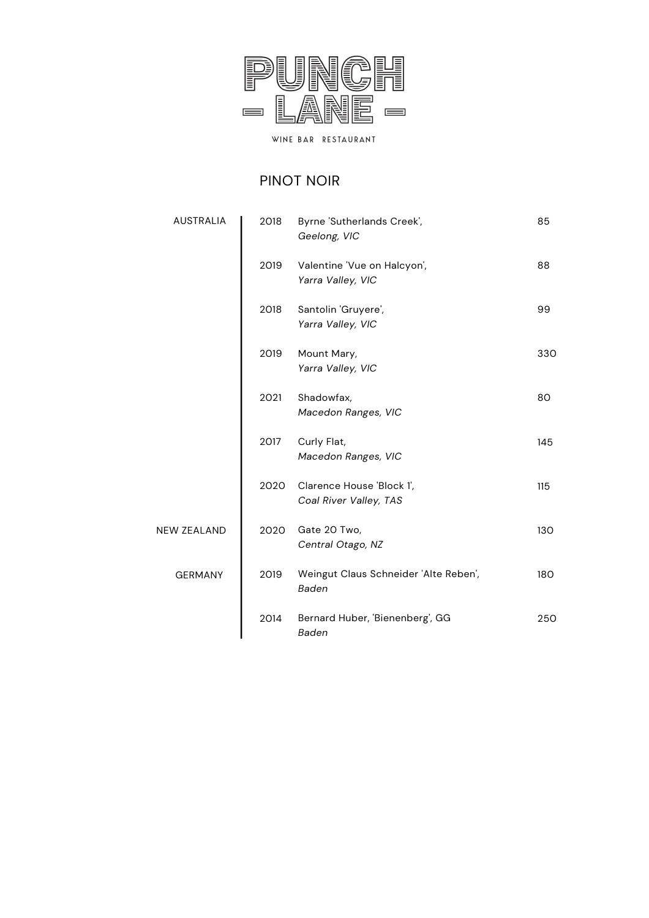

### PINOT NOIR

| <b>AUSTRALIA</b>   | 2018 | Byrne 'Sutherlands Creek',<br>Geelong, VIC            | 85  |
|--------------------|------|-------------------------------------------------------|-----|
|                    | 2019 | Valentine 'Vue on Halcyon',<br>Yarra Valley, VIC      | 88  |
|                    | 2018 | Santolin 'Gruyere',<br>Yarra Valley, VIC              | 99  |
|                    | 2019 | Mount Mary,<br>Yarra Valley, VIC                      | 330 |
|                    | 2021 | Shadowfax,<br>Macedon Ranges, VIC                     | 80  |
|                    | 2017 | Curly Flat,<br>Macedon Ranges, VIC                    | 145 |
|                    | 2020 | Clarence House 'Block 1',<br>Coal River Valley, TAS   | 115 |
| <b>NEW ZEALAND</b> | 2020 | Gate 20 Two,<br>Central Otago, NZ                     | 130 |
| <b>GERMANY</b>     | 2019 | Weingut Claus Schneider 'Alte Reben',<br><b>Baden</b> | 180 |
|                    | 2014 | Bernard Huber, 'Bienenberg', GG<br>Baden              | 250 |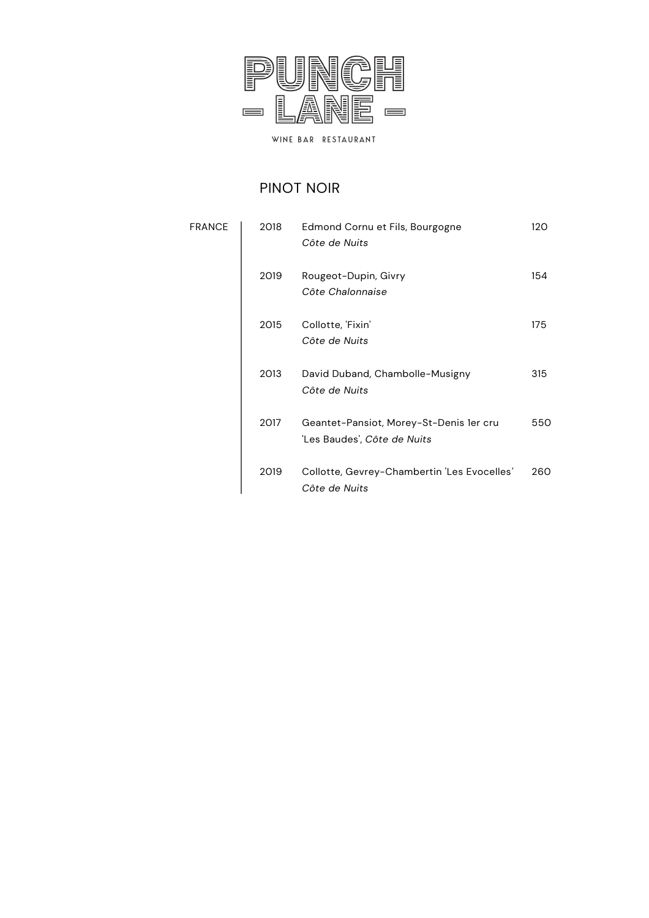

### PINOT NOIR

| <b>FRANCE</b> | 2018 | Edmond Cornu et Fils, Bourgogne<br>Côte de Nuits                       | 120 |
|---------------|------|------------------------------------------------------------------------|-----|
|               | 2019 | Rougeot-Dupin, Givry<br>Côte Chalonnaise                               | 154 |
|               | 2015 | Collotte, 'Fixin'<br>Côte de Nuits                                     | 175 |
|               | 2013 | David Duband, Chambolle-Musigny<br>Côte de Nuits                       | 315 |
|               | 2017 | Geantet-Pansiot, Morey-St-Denis 1er cru<br>'Les Baudes', Côte de Nuits | 550 |
|               | 2019 | Collotte, Gevrey-Chambertin 'Les Evocelles'<br>Côte de Nuits           | 260 |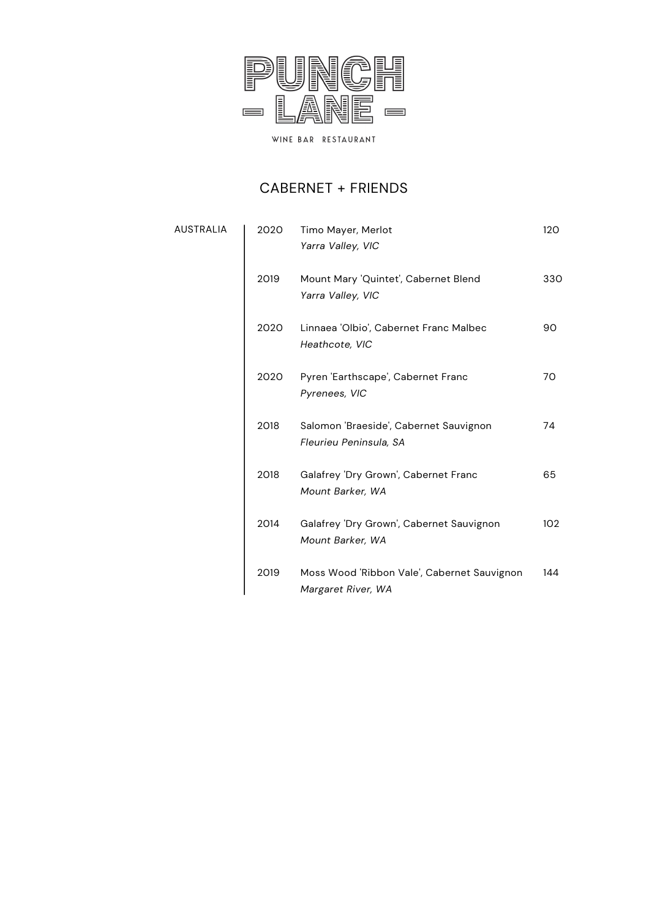

### CABERNET + FRIENDS

**AUSTRALIA** 

| 2020 | Timo Mayer, Merlot<br>Yarra Valley, VIC                           | 120 |
|------|-------------------------------------------------------------------|-----|
| 2019 | Mount Mary 'Quintet', Cabernet Blend<br>Yarra Valley, VIC         | 330 |
| 2020 | Linnaea 'Olbio', Cabernet Franc Malbec<br>Heathcote, VIC          | 90  |
| 2020 | Pyren 'Earthscape', Cabernet Franc<br>Pyrenees, VIC               | 70  |
| 2018 | Salomon 'Braeside', Cabernet Sauvignon<br>Fleurieu Peninsula, SA  | 74  |
| 2018 | Galafrey 'Dry Grown', Cabernet Franc<br>Mount Barker, WA          | 65  |
| 2014 | Galafrey 'Dry Grown', Cabernet Sauvignon<br>Mount Barker, WA      | 102 |
| 2019 | Moss Wood 'Ribbon Vale', Cabernet Sauvignon<br>Margaret River, WA | 144 |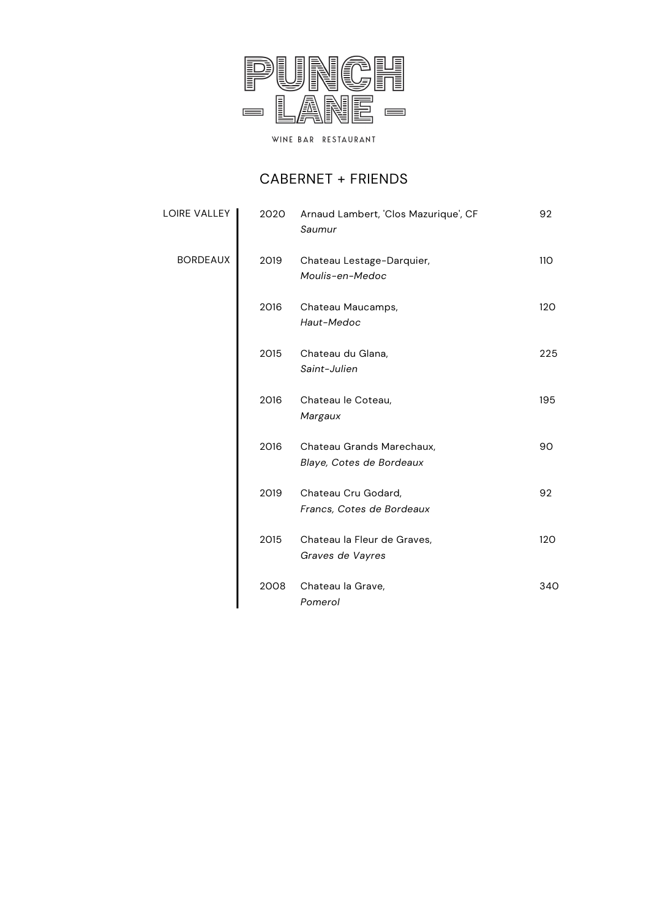

### CABERNET + FRIENDS

| LOIRE VALLEY    | 2020 | Arnaud Lambert, 'Clos Mazurique', CF<br>Saumur        | 92         |
|-----------------|------|-------------------------------------------------------|------------|
| <b>BORDEAUX</b> | 2019 | Chateau Lestage-Darquier,<br>Moulis-en-Medoc          | <b>110</b> |
|                 | 2016 | Chateau Maucamps,<br>Haut-Medoc                       | 120        |
|                 | 2015 | Chateau du Glana,<br>Saint-Julien                     | 225        |
|                 | 2016 | Chateau le Coteau,<br>Margaux                         | 195        |
|                 | 2016 | Chateau Grands Marechaux,<br>Blaye, Cotes de Bordeaux | 90         |
|                 | 2019 | Chateau Cru Godard,<br>Francs, Cotes de Bordeaux      | 92         |
|                 | 2015 | Chateau la Fleur de Graves,<br>Graves de Vayres       | 120        |
|                 | 2008 | Chateau la Grave,<br>Pomerol                          | 340        |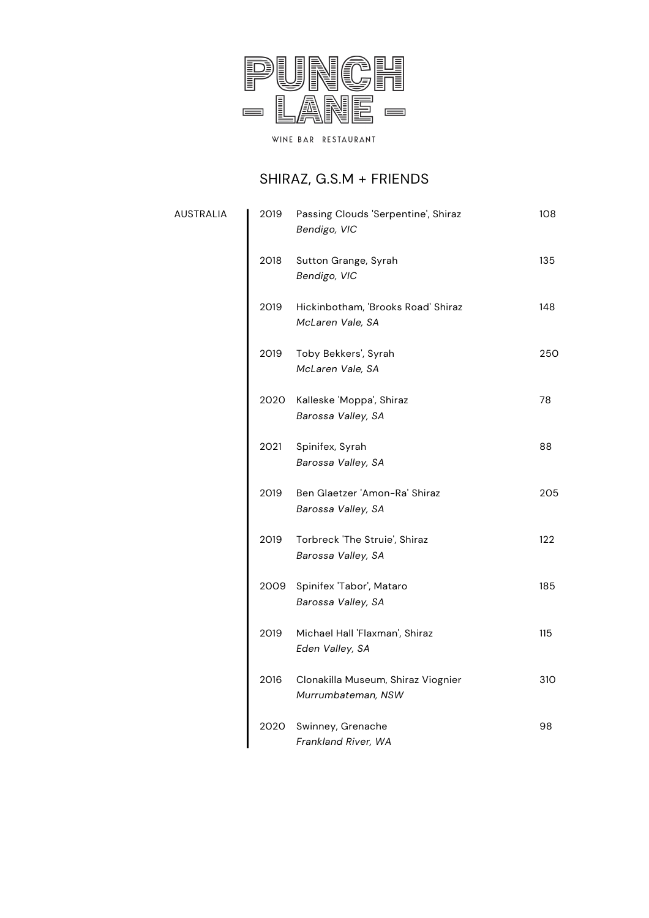

# SHIRAZ, G.S.M + FRIENDS

| AUSTRALIA | 2019 | Passing Clouds 'Serpentine', Shiraz<br>Bendigo, VIC      | 108 |
|-----------|------|----------------------------------------------------------|-----|
|           | 2018 | Sutton Grange, Syrah<br>Bendigo, VIC                     | 135 |
|           | 2019 | Hickinbotham, 'Brooks Road' Shiraz<br>McLaren Vale, SA   | 148 |
|           | 2019 | Toby Bekkers', Syrah<br>McLaren Vale, SA                 | 250 |
|           | 2020 | Kalleske 'Moppa', Shiraz<br>Barossa Valley, SA           | 78  |
|           | 2021 | Spinifex, Syrah<br>Barossa Valley, SA                    | 88  |
|           | 2019 | Ben Glaetzer 'Amon-Ra' Shiraz<br>Barossa Valley, SA      | 205 |
|           | 2019 | Torbreck 'The Struie', Shiraz<br>Barossa Valley, SA      | 122 |
|           | 2009 | Spinifex 'Tabor', Mataro<br>Barossa Valley, SA           | 185 |
|           | 2019 | Michael Hall 'Flaxman', Shiraz<br>Eden Valley, SA        | 115 |
|           | 2016 | Clonakilla Museum, Shiraz Viognier<br>Murrumbateman, NSW | 310 |
|           | 2020 | Swinney, Grenache<br>Frankland River, WA                 | 98  |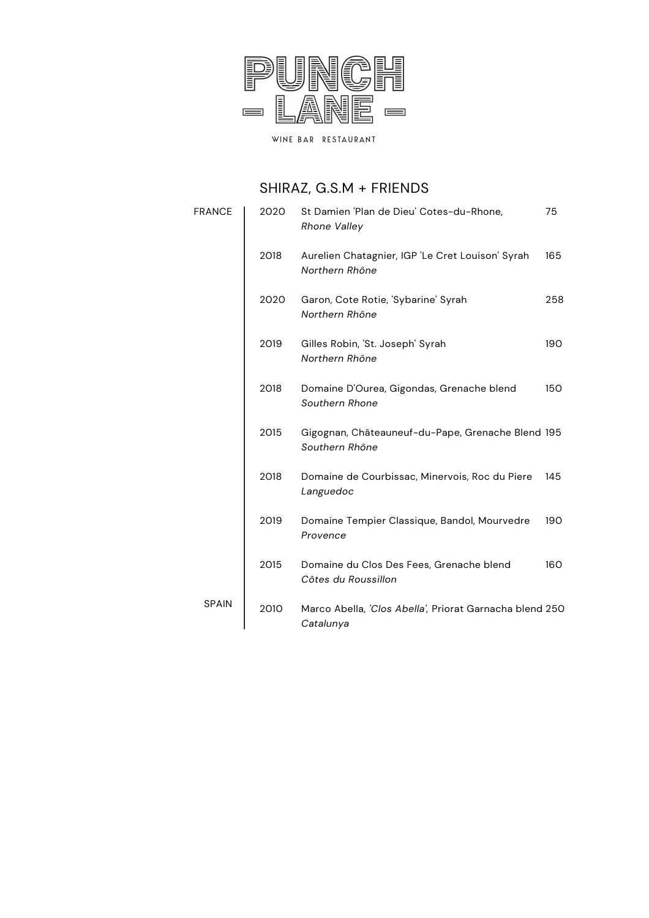

# SHIRAZ, G.S.M + FRIENDS

| <b>FRANCE</b> | 2020 | St Damien 'Plan de Dieu' Cotes-du-Rhone,<br><b>Rhone Valley</b>      | 75  |
|---------------|------|----------------------------------------------------------------------|-----|
|               | 2018 | Aurelien Chatagnier, IGP 'Le Cret Louison' Syrah<br>Northern Rhône   | 165 |
|               | 2020 | Garon, Cote Rotie, 'Sybarine' Syrah<br>Northern Rhône                | 258 |
|               | 2019 | Gilles Robin, 'St. Joseph' Syrah<br>Northern Rhône                   | 190 |
|               | 2018 | Domaine D'Ourea, Gigondas, Grenache blend<br>Southern Rhone          | 150 |
|               | 2015 | Gigognan, Châteauneuf-du-Pape, Grenache Blend 195<br>Southern Rhône  |     |
|               | 2018 | Domaine de Courbissac, Minervois, Roc du Piere<br>Languedoc          | 145 |
|               | 2019 | Domaine Tempier Classique, Bandol, Mourvedre<br>Provence             | 190 |
|               | 2015 | Domaine du Clos Des Fees, Grenache blend<br>Côtes du Roussillon      | 160 |
| <b>SPAIN</b>  | 2010 | Marco Abella, 'Clos Abella', Priorat Garnacha blend 250<br>Catalunya |     |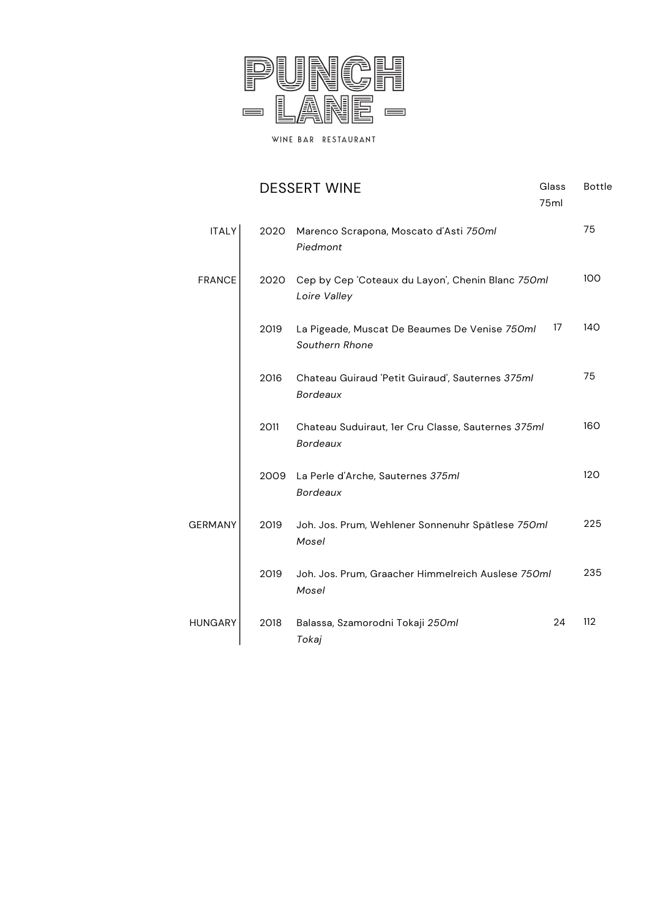

|                |                                                                           | <b>DESSERT WINE</b>                                                   | Glass<br>75ml | <b>Bottle</b> |
|----------------|---------------------------------------------------------------------------|-----------------------------------------------------------------------|---------------|---------------|
| <b>ITALY</b>   | 2020                                                                      | Marenco Scrapona, Moscato d'Asti 750ml<br>Piedmont                    |               | 75            |
| <b>FRANCE</b>  | Cep by Cep 'Coteaux du Layon', Chenin Blanc 750ml<br>2020<br>Loire Valley |                                                                       |               | 100           |
|                | 2019                                                                      | La Pigeade, Muscat De Beaumes De Venise 750ml<br>Southern Rhone       | 17            | 140           |
|                | 2016                                                                      | Chateau Guiraud 'Petit Guiraud', Sauternes 375ml<br><b>Bordeaux</b>   |               | 75            |
|                | 2011                                                                      | Chateau Suduiraut, 1er Cru Classe, Sauternes 375ml<br><b>Bordeaux</b> |               | 160           |
|                | 2009                                                                      | La Perle d'Arche, Sauternes 375ml<br><b>Bordeaux</b>                  |               | 120           |
| <b>GERMANY</b> | 2019                                                                      | Joh. Jos. Prum, Wehlener Sonnenuhr Spätlese 750ml<br>Mosel            |               | 225           |
|                | 2019                                                                      | Joh. Jos. Prum, Graacher Himmelreich Auslese 750ml<br>Mosel           |               | 235           |
| <b>HUNGARY</b> | 2018                                                                      | Balassa, Szamorodni Tokaji 250ml<br>Tokaj                             | 24            | 112           |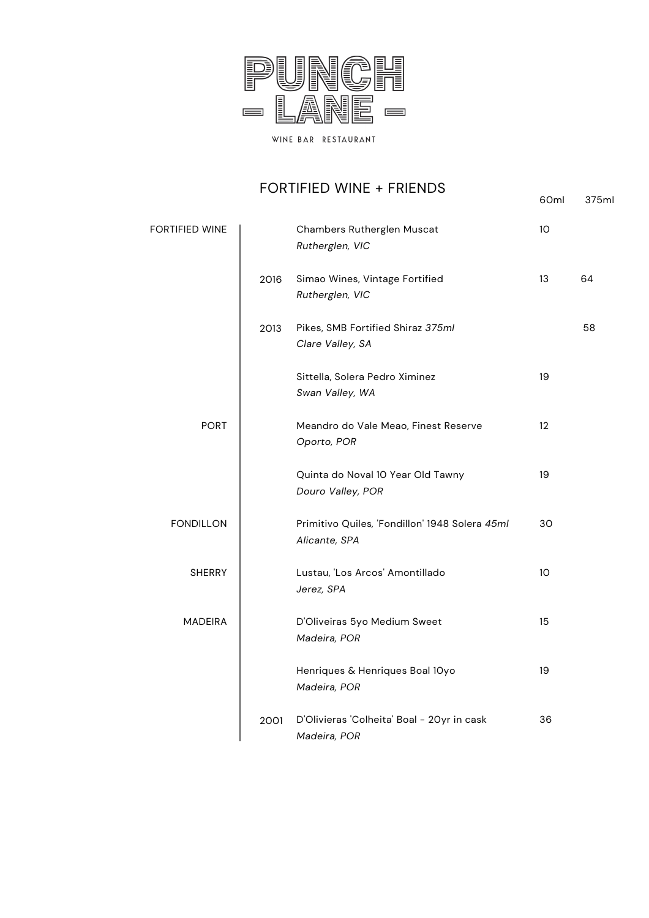

### FORTIFIED WINE + FRIENDS

60ml 375ml

| <b>FORTIFIED WINE</b> |      | Chambers Rutherglen Muscat<br>Rutherglen, VIC                   | 10                |    |
|-----------------------|------|-----------------------------------------------------------------|-------------------|----|
|                       | 2016 | Simao Wines, Vintage Fortified<br>Rutherglen, VIC               | 13                | 64 |
|                       | 2013 | Pikes, SMB Fortified Shiraz 375ml<br>Clare Valley, SA           |                   | 58 |
|                       |      | Sittella, Solera Pedro Ximinez<br>Swan Valley, WA               | 19                |    |
| <b>PORT</b>           |      | Meandro do Vale Meao, Finest Reserve<br>Oporto, POR             | $12 \overline{ }$ |    |
|                       |      | Quinta do Noval 10 Year Old Tawny<br>Douro Valley, POR          | 19                |    |
| <b>FONDILLON</b>      |      | Primitivo Quiles, 'Fondillon' 1948 Solera 45ml<br>Alicante, SPA | 30                |    |
| <b>SHERRY</b>         |      | Lustau, 'Los Arcos' Amontillado<br>Jerez, SPA                   | 10                |    |
| <b>MADEIRA</b>        |      | D'Oliveiras 5yo Medium Sweet<br>Madeira, POR                    | 15                |    |
|                       |      | Henriques & Henriques Boal 10yo<br>Madeira, POR                 | 19                |    |
|                       | 2001 | D'Olivieras 'Colheita' Boal - 20yr in cask<br>Madeira, POR      | 36                |    |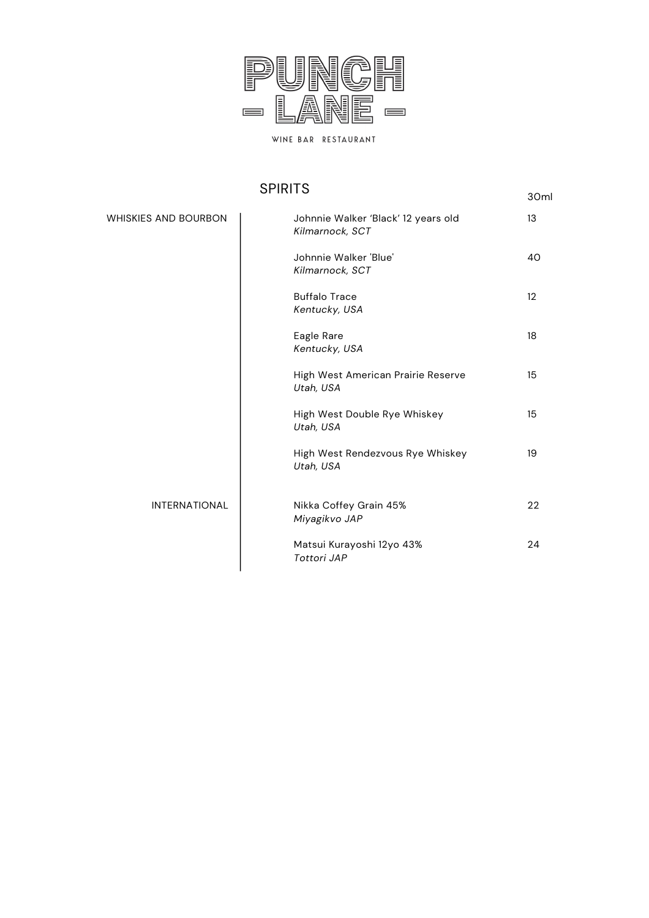

### SPIRITS

| ט וווווט                    |                                                        |    |  |  |
|-----------------------------|--------------------------------------------------------|----|--|--|
| <b>WHISKIES AND BOURBON</b> | Johnnie Walker 'Black' 12 years old<br>Kilmarnock, SCT | 13 |  |  |
|                             | Johnnie Walker 'Blue'<br>Kilmarnock, SCT               | 40 |  |  |
|                             | <b>Buffalo Trace</b><br>Kentucky, USA                  | 12 |  |  |
|                             | Eagle Rare<br>Kentucky, USA                            | 18 |  |  |
|                             | High West American Prairie Reserve<br>Utah, USA        | 15 |  |  |
|                             | High West Double Rye Whiskey<br>Utah, USA              | 15 |  |  |
|                             | High West Rendezvous Rye Whiskey<br>Utah, USA          | 19 |  |  |
| <b>INTERNATIONAL</b>        | Nikka Coffey Grain 45%<br>Miyagikvo JAP                | 22 |  |  |
|                             | Matsui Kurayoshi 12yo 43%<br>Tottori JAP               | 24 |  |  |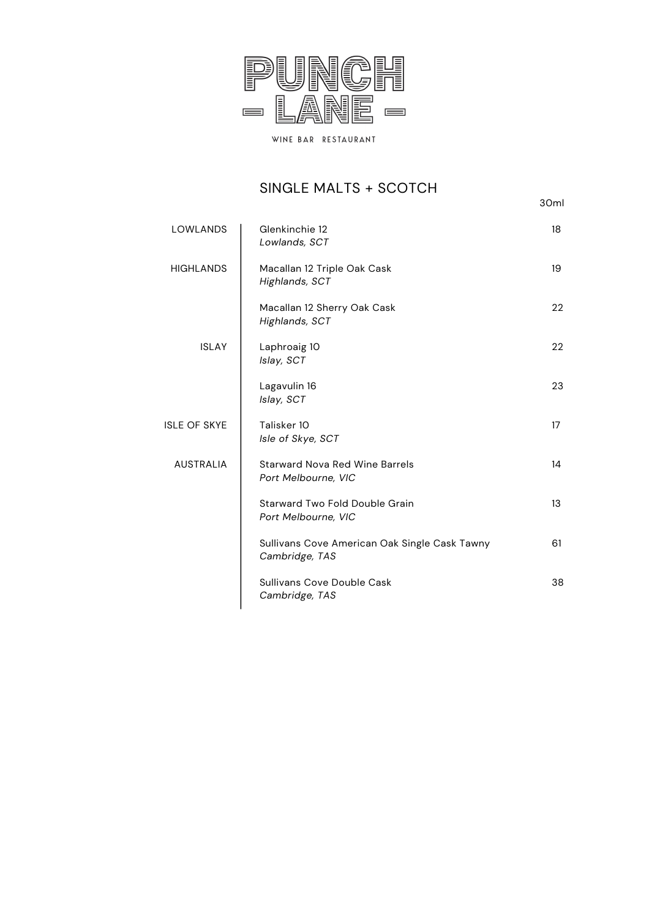

# SINGLE MALTS + SCOTCH

30ml

| <b>LOWLANDS</b>  | Glenkinchie 12<br>Lowlands, SCT                                 | 18 |
|------------------|-----------------------------------------------------------------|----|
| <b>HIGHLANDS</b> | Macallan 12 Triple Oak Cask<br>Highlands, SCT                   | 19 |
|                  | Macallan 12 Sherry Oak Cask<br>Highlands, SCT                   | 22 |
| <b>ISLAY</b>     | Laphroaig 10<br>Islay, SCT                                      | 22 |
|                  | Lagavulin 16<br>Islay, SCT                                      | 23 |
| ISLE OF SKYE     | Talisker 10<br>Isle of Skye, SCT                                | 17 |
| <b>AUSTRALIA</b> | <b>Starward Nova Red Wine Barrels</b><br>Port Melbourne, VIC    | 14 |
|                  | Starward Two Fold Double Grain<br>Port Melbourne, VIC           | 13 |
|                  | Sullivans Cove American Oak Single Cask Tawny<br>Cambridge, TAS | 61 |
|                  | Sullivans Cove Double Cask<br>Cambridge, TAS                    | 38 |
|                  |                                                                 |    |